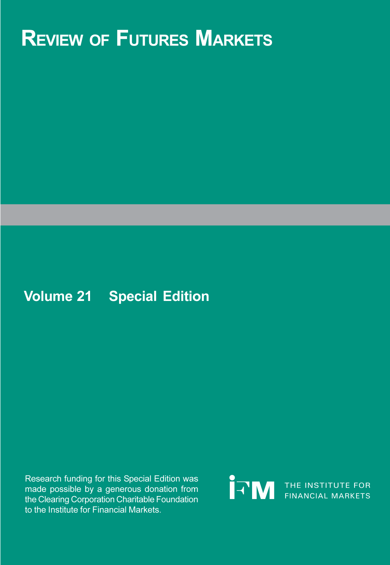# **REVIEW OF FUTURES MARKETS**

## **Volume 21 Special Edition**

Research funding for this Special Edition was made possible by a generous donation from the Clearing Corporation Charitable Foundation to the Institute for Financial Markets.

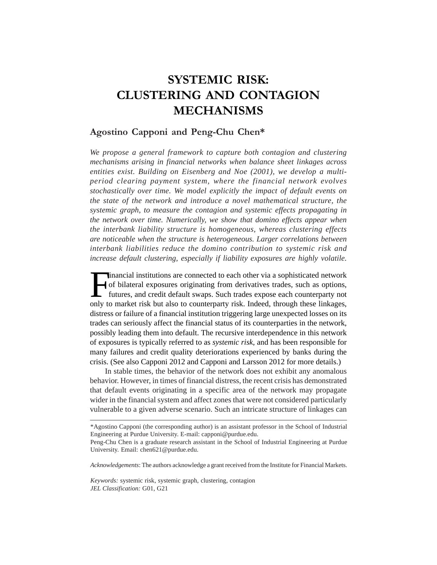### **SYSTEMIC RISK: CLUSTERING AND CONTAGION MECHANISMS**

### **Agostino Capponi and Peng-Chu Chen\***

*We propose a general framework to capture both contagion and clustering mechanisms arising in financial networks when balance sheet linkages across entities exist. Building on Eisenberg and Noe (2001), we develop a multiperiod clearing payment system, where the financial network evolves stochastically over time. We model explicitly the impact of default events on the state of the network and introduce a novel mathematical structure, the systemic graph, to measure the contagion and systemic effects propagating in the network over time. Numerically, we show that domino effects appear when the interbank liability structure is homogeneous, whereas clustering effects are noticeable when the structure is heterogeneous. Larger correlations between interbank liabilities reduce the domino contribution to systemic risk and increase default clustering, especially if liability exposures are highly volatile.*

Inancial institutions are connected to each other via a sophisticated network<br>of bilateral exposures originating from derivatives trades, such as options,<br>futures, and credit default swaps. Such trades expose each counterp of bilateral exposures originating from derivatives trades, such as options, futures, and credit default swaps. Such trades expose each counterparty not only to market risk but also to counterparty risk. Indeed, through these linkages, distress or failure of a financial institution triggering large unexpected losses on its trades can seriously affect the financial status of its counterparties in the network, possibly leading them into default. The recursive interdependence in this network of exposures is typically referred to as *systemic risk*, and has been responsible for many failures and credit quality deteriorations experienced by banks during the crisis. (See also Capponi 2012 and Capponi and Larsson 2012 for more details.)

In stable times, the behavior of the network does not exhibit any anomalous behavior. However, in times of financial distress, the recent crisis has demonstrated that default events originating in a specific area of the network may propagate wider in the financial system and affect zones that were not considered particularly vulnerable to a given adverse scenario. Such an intricate structure of linkages can

*Acknowledgements*: The authors acknowledge a grant received from the Institute for Financial Markets.

*Keywords:* systemic risk, systemic graph, clustering, contagion *JEL Classification:* G01, G21

<sup>\*</sup>Agostino Capponi (the corresponding author) is an assistant professor in the School of Industrial Engineering at Purdue University. E-mail: capponi@purdue.edu.

Peng-Chu Chen is a graduate research assistant in the School of Industrial Engineering at Purdue University. Email: chen621@purdue.edu.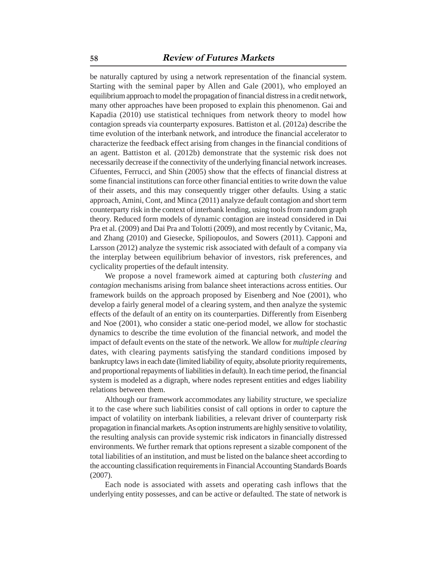be naturally captured by using a network representation of the financial system. Starting with the seminal paper by Allen and Gale (2001), who employed an equilibrium approach to model the propagation of financial distress in a credit network, many other approaches have been proposed to explain this phenomenon. Gai and Kapadia (2010) use statistical techniques from network theory to model how contagion spreads via counterparty exposures. Battiston et al. (2012a) describe the time evolution of the interbank network, and introduce the financial accelerator to characterize the feedback effect arising from changes in the financial conditions of an agent. Battiston et al. (2012b) demonstrate that the systemic risk does not necessarily decrease if the connectivity of the underlying financial network increases. Cifuentes, Ferrucci, and Shin (2005) show that the effects of financial distress at some financial institutions can force other financial entities to write down the value of their assets, and this may consequently trigger other defaults. Using a static approach, Amini, Cont, and Minca (2011) analyze default contagion and short term counterparty risk in the context of interbank lending, using tools from random graph theory. Reduced form models of dynamic contagion are instead considered in Dai Pra et al. (2009) and Dai Pra and Tolotti (2009), and most recently by Cvitanic, Ma, and Zhang (2010) and Giesecke, Spiliopoulos, and Sowers (2011). Capponi and Larsson (2012) analyze the systemic risk associated with default of a company via the interplay between equilibrium behavior of investors, risk preferences, and cyclicality properties of the default intensity.

We propose a novel framework aimed at capturing both *clustering* and *contagion* mechanisms arising from balance sheet interactions across entities. Our framework builds on the approach proposed by Eisenberg and Noe (2001), who develop a fairly general model of a clearing system, and then analyze the systemic effects of the default of an entity on its counterparties. Differently from Eisenberg and Noe (2001), who consider a static one-period model, we allow for stochastic dynamics to describe the time evolution of the financial network, and model the impact of default events on the state of the network. We allow for *multiple clearing* dates, with clearing payments satisfying the standard conditions imposed by bankruptcy laws in each date (limited liability of equity, absolute priority requirements, and proportional repayments of liabilities in default). In each time period, the financial system is modeled as a digraph, where nodes represent entities and edges liability relations between them.

Although our framework accommodates any liability structure, we specialize it to the case where such liabilities consist of call options in order to capture the impact of volatility on interbank liabilities, a relevant driver of counterparty risk propagation in financial markets. As option instruments are highly sensitive to volatility, the resulting analysis can provide systemic risk indicators in financially distressed environments. We further remark that options represent a sizable component of the total liabilities of an institution, and must be listed on the balance sheet according to the accounting classification requirements in Financial Accounting Standards Boards (2007).

Each node is associated with assets and operating cash inflows that the underlying entity possesses, and can be active or defaulted. The state of network is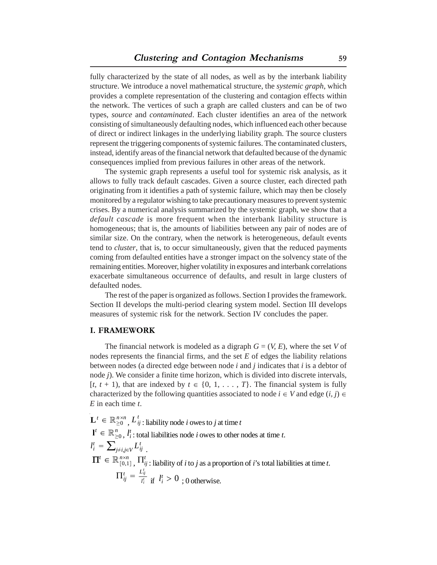fully characterized by the state of all nodes, as well as by the interbank liability structure. We introduce a novel mathematical structure, the *systemic graph*, which provides a complete representation of the clustering and contagion effects within the network. The vertices of such a graph are called clusters and can be of two types, *source* and *contaminated*. Each cluster identifies an area of the network consisting of simultaneously defaulting nodes, which influenced each other because of direct or indirect linkages in the underlying liability graph. The source clusters represent the triggering components of systemic failures. The contaminated clusters, instead, identify areas of the financial network that defaulted because of the dynamic consequences implied from previous failures in other areas of the network.

The systemic graph represents a useful tool for systemic risk analysis, as it allows to fully track default cascades. Given a source cluster, each directed path originating from it identifies a path of systemic failure, which may then be closely monitored by a regulator wishing to take precautionary measures to prevent systemic crises. By a numerical analysis summarized by the systemic graph, we show that a *default cascade* is more frequent when the interbank liability structure is homogeneous; that is, the amounts of liabilities between any pair of nodes are of similar size. On the contrary, when the network is heterogeneous, default events tend to *cluster*, that is, to occur simultaneously, given that the reduced payments coming from defaulted entities have a stronger impact on the solvency state of the remaining entities. Moreover, higher volatility in exposures and interbank correlations exacerbate simultaneous occurrence of defaults, and result in large clusters of defaulted nodes.

The rest of the paper is organized as follows. Section I provides the framework. Section II develops the multi-period clearing system model. Section III develops measures of systemic risk for the network. Section IV concludes the paper.

#### **I. FRAMEWORK**

The financial network is modeled as a digraph  $G = (V, E)$ , where the set *V* of nodes represents the financial firms, and the set *E* of edges the liability relations between nodes (a directed edge between node *i* and *j* indicates that *i* is a debtor of node *j*). We consider a finite time horizon, which is divided into discrete intervals, [ $t, t + 1$ ], that are indexed by  $t \in \{0, 1, \ldots, T\}$ . The financial system is fully characterized by the following quantities associated to node  $i \in V$  and edge  $(i, j) \in$ *E* in each time *t*.

$$
\mathbf{L}^{t} \in \mathbb{R}_{\geq 0}^{n \times n}, L^{t}_{ij} \text{ : liability node } i \text{ owes to } j \text{ at time } t
$$
\n
$$
\mathbf{l}^{t} \in \mathbb{R}_{\geq 0}^{n}, l^{t}_{i} \text{ : total liabilities node } i \text{ owes to other nodes at time } t.
$$
\n
$$
l^{t}_{i} = \sum_{j \neq i, j \in V} L^{t}_{ij}
$$
\n
$$
\mathbf{\Pi}^{t} \in \mathbb{R}_{[0,1]}^{n \times n}, \Pi^{t}_{ij} \text{ : liability of } i \text{ to } j \text{ as a proportion of } i \text{'s total liabilities at time } t.
$$
\n
$$
\Pi^{t}_{ij} = \frac{L^{t}_{ij}}{l^{t}_{i}} \text{ if } l^{t}_{i} > 0 \text{ ; 0 otherwise.}
$$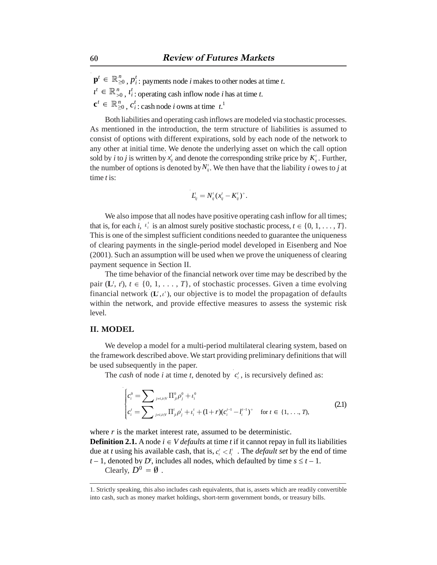$\mathbf{p}^t \in \mathbb{R}_{\geq 0}^n$ ,  $p_i^t$ : payments node *i* makes to other nodes at time *t*.  $t^t \in \mathbb{R}_{>0}^n$ ,  $t_i^t$ ; operating cash inflow node *i* has at time *t*.  $\mathbf{c}^t \in \mathbb{R}_{\geq 0}^n$ ,  $c_i^t$ : cash node *i* owns at time  $t_i^1$ .

Both liabilities and operating cash inflows are modeled via stochastic processes. As mentioned in the introduction, the term structure of liabilities is assumed to consist of options with different expirations, sold by each node of the network to any other at initial time. We denote the underlying asset on which the call option sold by *i* to *j* is written by  $x_{ij}^t$  and denote the corresponding strike price by  $K_{ij}^t$ . Further, the number of options is denoted by  $N_{ij}$ . We then have that the liability *i* owes to *j* at time *t* is:

$$
L'_{ij} = N'_{ij} (x'_{ij} - K'_{ij})^{+}.
$$

We also impose that all nodes have positive operating cash inflow for all times; that is, for each *i*,  $\iota_i'$  is an almost surely positive stochastic process,  $t \in \{0, 1, \ldots, T\}$ . This is one of the simplest sufficient conditions needed to guarantee the uniqueness of clearing payments in the single-period model developed in Eisenberg and Noe (2001). Such an assumption will be used when we prove the uniqueness of clearing payment sequence in Section II.

The time behavior of the financial network over time may be described by the pair  $(L^t, t^t)$ ,  $t \in \{0, 1, \ldots, T\}$ , of stochastic processes. Given a time evolving financial network  $(L^t, \iota^t)$ , our objective is to model the propagation of defaults within the network, and provide effective measures to assess the systemic risk level.

#### **II. MODEL**

We develop a model for a multi-period multilateral clearing system, based on the framework described above. We start providing preliminary definitions that will be used subsequently in the paper.

The *cash* of node *i* at time *t*, denoted by  $c_i$ , is recursively defined as:

$$
\begin{cases} c_i^0 = \sum_{j \neq i, i \in V} \prod_{j \neq i}^0 \rho_j^0 + t_i^0 \\ c_i^t = \sum_{j \neq i, i \in V} \prod_{j \neq i}^t \rho_j^t + t_i^t + (1+r)(c_i^{t-1} - t_i^{t-1})^+ \quad \text{for } t \in \{1, ..., T\}, \end{cases} \tag{2.1}
$$

where *r* is the market interest rate, assumed to be deterministic.

**Definition 2.1.** A node  $i \in V$  *defaults* at time *t* if it cannot repay in full its liabilities due at *t* using his available cash, that is,  $c_i^r < l_i^r$ . The *default set* by the end of time  $t-1$ , denoted by  $D^t$ , includes all nodes, which defaulted by time  $s \leq t-1$ . Clearly,  $D^0 = \emptyset$ .

<sup>1.</sup> Strictly speaking, this also includes cash equivalents, that is, assets which are readily convertible into cash, such as money market holdings, short-term government bonds, or treasury bills.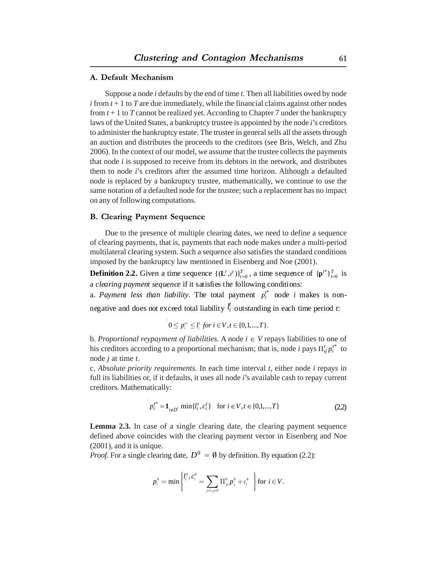#### **A. Default Mechanism**

Suppose a node *i* defaults by the end of time *t*. Then all liabilities owed by node  $i$  from  $t + 1$  to  $T$  are due immediately, while the financial claims against other nodes from  $t + 1$  to  $T$  cannot be realized yet. According to Chapter 7 under the bankruptcy laws of the United States, a bankruptcy trustee is appointed by the node *i*'s creditors to administer the bankruptcy estate. The trustee in general sells all the assets through an auction and distributes the proceeds to the creditors (see Bris, Welch, and Zhu 2006). In the context of our model, we assume that the trustee collects the payments that node *i* is supposed to receive from its debtors in the network, and distributes them to node *i*'s creditors after the assumed time horizon. Although a defaulted node is replaced by a bankruptcy trustee, mathematically, we continue to use the same notation of a defaulted node for the trustee; such a replacement has no impact on any of following computations.

#### **B. Clearing Payment Sequence**

Due to the presence of multiple clearing dates, we need to define a sequence of clearing payments, that is, payments that each node makes under a multi-period multilateral clearing system. Such a sequence also satisfies the standard conditions imposed by the bankruptcy law mentioned in Eisenberg and Noe (2001).

**Definition 2.2.** Given a time sequence  $\{(\mathbf{L}^t, t^t)\}_{t=0}^T$ , a time sequence of  $\{\mathbf{p}^{t*}\}_{t=0}^T$  is a *clearing payment sequence* if it satisfies the following conditions:

a. *Payment less than liability*. The total payment  $p_i^{t^*}$  node *i* makes is nonnegative and does not exceed total liability  $l_i^t$  out standing in each time period *t*:

$$
0 \le p_i^{t*} \le l_i^t \text{ for } i \in V, t \in \{0, 1, ..., T\}.
$$

b. Proportional reypayment of liabilities. A node  $i \in V$  repays liabilities to one of his creditors according to a proportional mechanism; that is, node *i* pays  $\Pi_{ij}^t p_i^{t^*}$  to node *j* at time *t*.

c. *Absolute priority requirements.* In each time interval *t*, either node *i* repays in full its liabilities or, if it defaults, it uses all node *i*'s available cash to repay current creditors. Mathematically:

$$
p_i^{t^*} = \mathbf{1}_{i \notin D^t} \min\{l_i^t, c_i^t\} \quad \text{for } i \in V, t \in \{0, 1, ..., T\}
$$
 (2.2)

**Lemma 2.3.** In case of a single clearing date, the clearing payment sequence defined above coincides with the clearing payment vector in Eisenberg and Noe (2001), and it is unique.

*Proof.* For a single clearing date,  $D^0 = \emptyset$  by definition. By equation (2.2):

$$
p_i^0 = \min \left\{ l_i^0, c_i^0 = \sum_{j=i, j \in V} \prod_{j}^0 p_j^0 + t_i^0 \right\} \text{ for } i \in V.
$$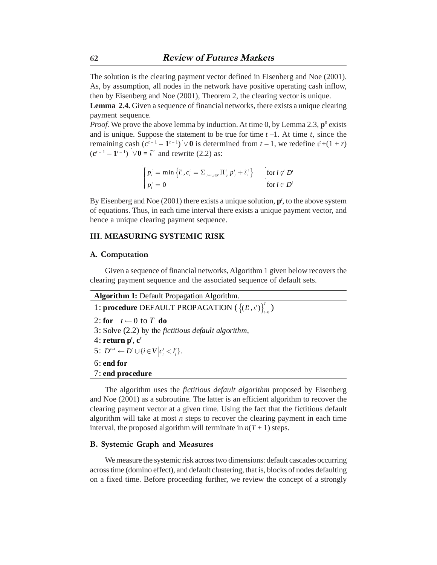The solution is the clearing payment vector defined in Eisenberg and Noe (2001). As, by assumption, all nodes in the network have positive operating cash inflow, then by Eisenberg and Noe (2001), Theorem 2, the clearing vector is unique.

**Lemma 2.4.** Given a sequence of financial networks, there exists a unique clearing payment sequence.

*Proof.* We prove the above lemma by induction. At time 0, by Lemma 2.3,  $\mathbf{p}^0$  exists and is unique. Suppose the statement to be true for time  $t - 1$ . At time  $t$ , since the remaining cash  $(c^{t-1} - 1^{t-1}) \vee 0$  is determined from  $t - 1$ , we redefine  $t' + (1 + r)$  $({\bf c}^{t-1} - {\bf 1}^{t-1}) \ \lor {\bf 0} = \tilde{\iota}^t$  and rewrite (2.2) as:

$$
\begin{cases} p'_{i} = \min \left\{ l'_{i}, c'_{i} = \sum_{j=i, j \in V} \prod'_{ji} p'_{j} + \tilde{\iota}_{i}^{\prime} \right\} & \text{for } i \notin D' \\ p'_{i} = 0 & \text{for } i \in D' \end{cases}
$$

By Eisenberg and Noe  $(2001)$  there exists a unique solution,  $p^t$ , to the above system of equations. Thus, in each time interval there exists a unique payment vector, and hence a unique clearing payment sequence.

#### **III. MEASURING SYSTEMIC RISK**

#### **A. Computation**

Given a sequence of financial networks, Algorithm 1 given below recovers the clearing payment sequence and the associated sequence of default sets.

| <b>Algorithm 1: Default Propagation Algorithm.</b>          |
|-------------------------------------------------------------|
| 1: procedure DEFAULT PROPAGATION $({(L, i)}_{l=0}^{l'} )$   |
| 2: for $t \leftarrow 0$ to T do                             |
| $3:$ Solve $(2.2)$ by the fictitious default algorithm,     |
| 4: return $p^t$ , $c^t$                                     |
| 5: $D^{i+1} \leftarrow D' \cup \{i \in V   c_i' < l_i' \}.$ |
| $6:$ end for                                                |
| 7: end procedure                                            |
|                                                             |

The algorithm uses the *fictitious default algorithm* proposed by Eisenberg and Noe (2001) as a subroutine. The latter is an efficient algorithm to recover the clearing payment vector at a given time. Using the fact that the fictitious default algorithm will take at most *n* steps to recover the clearing payment in each time interval, the proposed algorithm will terminate in  $n(T + 1)$  steps.

#### **B. Systemic Graph and Measures**

We measure the systemic risk across two dimensions: default cascades occurring across time (domino effect), and default clustering, that is, blocks of nodes defaulting on a fixed time. Before proceeding further, we review the concept of a strongly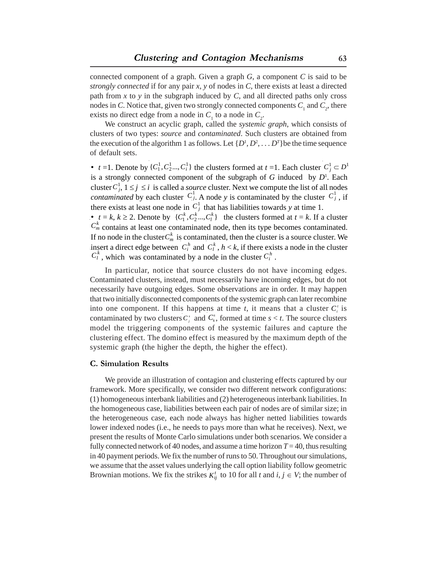connected component of a graph. Given a graph *G*, a component *C* is said to be *strongly connected* if for any pair *x*, *y* of nodes in *C*, there exists at least a directed path from  $x$  to  $y$  in the subgraph induced by  $C$ , and all directed paths only cross nodes in *C*. Notice that, given two strongly connected components  $C_1$  and  $C_2$ , there exists no direct edge from a node in  $C_1$  to a node in  $C_2$ .

We construct an acyclic graph, called the *systemic graph*, which consists of clusters of two types: *source* and *contaminated*. Such clusters are obtained from the execution of the algorithm 1 as follows. Let  $\{D^1, D^2, \ldots D^T\}$  be the time sequence of default sets.

•  $t = 1$ . Denote by  $\{C_1^1, C_2^1, \ldots, C_i^1\}$  the clusters formed at  $t = 1$ . Each cluster  $C_j^1 \subset D^1$ is a strongly connected component of the subgraph of  $G$  induced by  $D<sup>1</sup>$ . Each cluster  $C_i^1$ ,  $1 \le j \le i$  is called a *source* cluster. Next we compute the list of all nodes *contaminated* by each cluster  $C_j$ . A node *y* is contaminated by the cluster  $C_j$ , if there exists at least one node in  $C_i^1$  that has liabilities towards *y* at time 1.  $C_j^1$ ,  $1 \le j \le i$  is called a *source* cluster. Next we compute the list of all no<br>*inated* by each cluster  $C_j^1$ . A node y is contaminated by the cluster  $C_j^1$  $C^1_j$ 

•  $t = k, k \ge 2$ . Denote by  $\{C_1^k, C_2^k, \ldots, C_l^k\}$  the clusters formed at  $t = k$ . If a cluster  $C_m^k$  contains at least one contaminated node, then its type becomes contaminated. If no node in the cluster  $C_m^k$  is contaminated, then the cluster is a source cluster. We If no node in the cluster  $C_m^k$  is contaminated, then the cluster is a source cluster. We insert a direct edge between  $C_i^h$  and  $C_i^k$ ,  $h < k$ , if there exists a node in the cluster  $C_l^k$ , which was contaminated by a node in the cluster  $C_l^h$ . insert a direct edge between  $C_i^h$  and  $C_l^k$ ,<br> $C_i^k$ , which was contaminated by a node

In particular, notice that source clusters do not have incoming edges. Contaminated clusters, instead, must necessarily have incoming edges, but do not necessarily have outgoing edges. Some observations are in order. It may happen that two initially disconnected components of the systemic graph can later recombine into one component. If this happens at time  $t$ , it means that a cluster  $C_i^t$  is contaminated by two clusters  $C_j^s$  and  $C_k^s$ , formed at time  $s < t$ . The source clusters model the triggering components of the systemic failures and capture the clustering effect. The domino effect is measured by the maximum depth of the systemic graph (the higher the depth, the higher the effect).

#### **C. Simulation Results**

We provide an illustration of contagion and clustering effects captured by our framework. More specifically, we consider two different network configurations: (1) homogeneous interbank liabilities and (2) heterogeneous interbank liabilities. In the homogeneous case, liabilities between each pair of nodes are of similar size; in the heterogeneous case, each node always has higher netted liabilities towards lower indexed nodes (i.e., he needs to pays more than what he receives). Next, we present the results of Monte Carlo simulations under both scenarios. We consider a fully connected network of 40 nodes, and assume a time horizon  $T = 40$ , thus resulting in 40 payment periods. We fix the number of runs to 50. Throughout our simulations, we assume that the asset values underlying the call option liability follow geometric Brownian motions. We fix the strikes  $K_{ij}^t$  to 10 for all *t* and  $i, j \in V$ ; the number of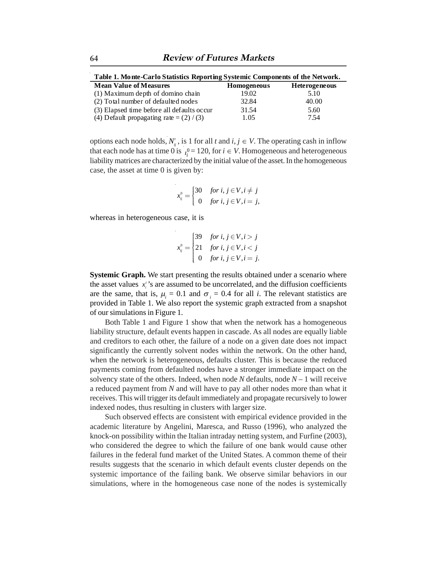| Table 1. Monte-Carlo Statistics Reporting Systemic Components of the Network. |                    |                      |  |
|-------------------------------------------------------------------------------|--------------------|----------------------|--|
| <b>Mean Value of Measures</b>                                                 | <b>Homogeneous</b> | <b>Heterogeneous</b> |  |
| (1) Maximum depth of domino chain                                             | 19.02              | 5.10                 |  |
| (2) Total number of defaulted nodes                                           | 32.84              | 40.00                |  |
| (3) Elapsed time before all defaults occur                                    | 31.54              | 5.60                 |  |
| (4) Default propagating rate = $(2) / (3)$                                    | 1.05               | 7.54                 |  |

options each node holds,  $N_{ij}^t$ , is 1 for all *t* and  $i, j \in V$ . The operating cash in inflow that each node has at time 0 is  $_{l_i^0} = 120$ , for  $i \in V$ . Homogeneous and heterogeneous liability matrices are characterized by the initial value of the asset. In the homogeneous case, the asset at time 0 is given by:

$$
x_{ij}^0 = \begin{cases} 30 & \text{for } i, j \in V, i \neq j \\ 0 & \text{for } i, j \in V, i = j, \end{cases}
$$

whereas in heterogeneous case, it is

$$
x_{ij}^0 = \begin{cases} 39 & \text{for } i, j \in V, i > j \\ 21 & \text{for } i, j \in V, i < j \\ 0 & \text{for } i, j \in V, i = j. \end{cases}
$$

**Systemic Graph.** We start presenting the results obtained under a scenario where the asset values  $x_i$ 's are assumed to be uncorrelated, and the diffusion coefficients are the same, that is,  $\mu_i = 0.1$  and  $\sigma_i = 0.4$  for all *i*. The relevant statistics are provided in Table 1. We also report the systemic graph extracted from a snapshot of our simulations in Figure 1.

Both Table 1 and Figure 1 show that when the network has a homogeneous liability structure, default events happen in cascade. As all nodes are equally liable and creditors to each other, the failure of a node on a given date does not impact significantly the currently solvent nodes within the network. On the other hand, when the network is heterogeneous, defaults cluster. This is because the reduced payments coming from defaulted nodes have a stronger immediate impact on the solvency state of the others. Indeed, when node  $N$  defaults, node  $N-1$  will receive a reduced payment from *N* and will have to pay all other nodes more than what it receives. This will trigger its default immediately and propagate recursively to lower indexed nodes, thus resulting in clusters with larger size.

Such observed effects are consistent with empirical evidence provided in the academic literature by Angelini, Maresca, and Russo (1996), who analyzed the knock-on possibility within the Italian intraday netting system, and Furfine (2003), who considered the degree to which the failure of one bank would cause other failures in the federal fund market of the United States. A common theme of their results suggests that the scenario in which default events cluster depends on the systemic importance of the failing bank. We observe similar behaviors in our simulations, where in the homogeneous case none of the nodes is systemically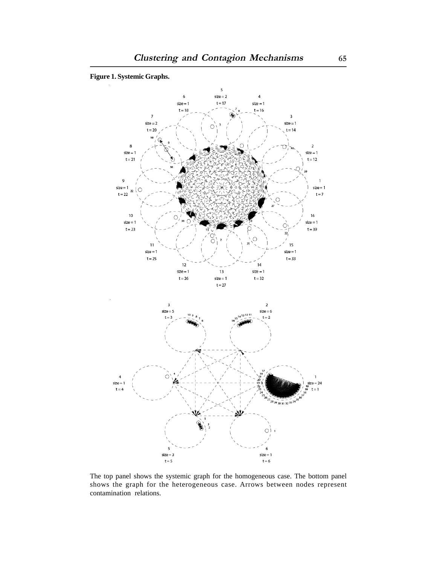

The top panel shows the systemic graph for the homogeneous case. The bottom panel shows the graph for the heterogeneous case. Arrows between nodes represent contamination relations.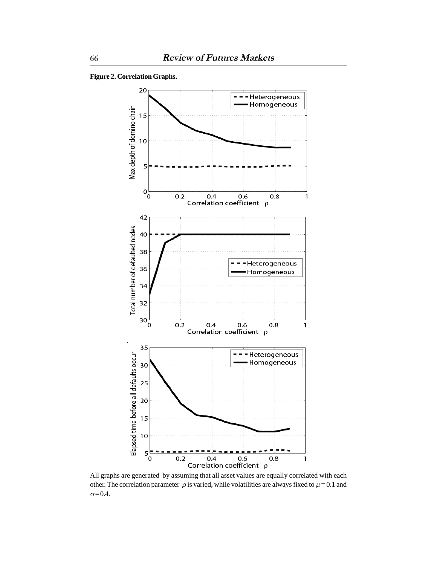**Figure 2. Correlation Graphs.**



All graphs are generated by assuming that all asset values are equally correlated with each other. The correlation parameter  $\rho$  is varied, while volatilities are always fixed to  $\mu = 0.1$  and  $\sigma = 0.4$ .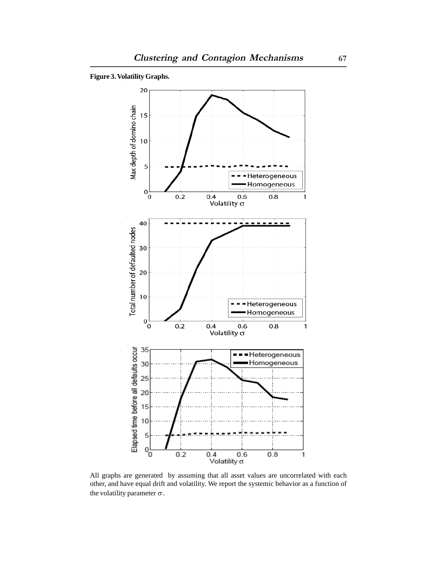



All graphs are generated by assuming that all asset values are uncorrelated with each other, and have equal drift and volatility. We report the systemic behavior as a function of the volatility parameter  $\sigma$ .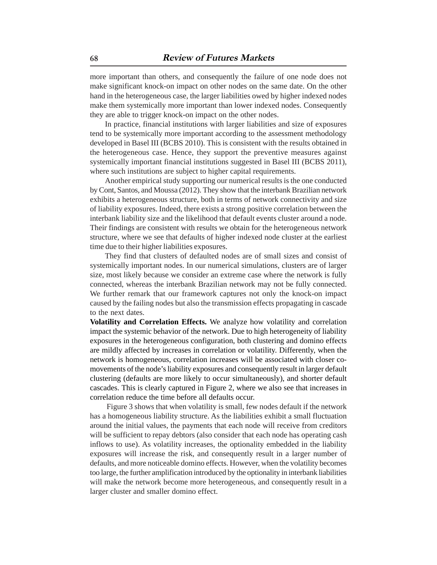more important than others, and consequently the failure of one node does not make significant knock-on impact on other nodes on the same date. On the other hand in the heterogeneous case, the larger liabilities owed by higher indexed nodes make them systemically more important than lower indexed nodes. Consequently they are able to trigger knock-on impact on the other nodes.

In practice, financial institutions with larger liabilities and size of exposures tend to be systemically more important according to the assessment methodology developed in Basel III (BCBS 2010). This is consistent with the results obtained in the heterogeneous case. Hence, they support the preventive measures against systemically important financial institutions suggested in Basel III (BCBS 2011), where such institutions are subject to higher capital requirements.

Another empirical study supporting our numerical results is the one conducted by Cont, Santos, and Moussa (2012). They show that the interbank Brazilian network exhibits a heterogeneous structure, both in terms of network connectivity and size of liability exposures. Indeed, there exists a strong positive correlation between the interbank liability size and the likelihood that default events cluster around a node. Their findings are consistent with results we obtain for the heterogeneous network structure, where we see that defaults of higher indexed node cluster at the earliest time due to their higher liabilities exposures.

They find that clusters of defaulted nodes are of small sizes and consist of systemically important nodes. In our numerical simulations, clusters are of larger size, most likely because we consider an extreme case where the network is fully connected, whereas the interbank Brazilian network may not be fully connected. We further remark that our framework captures not only the knock-on impact caused by the failing nodes but also the transmission effects propagating in cascade to the next dates.

**Volatility and Correlation Effects.** We analyze how volatility and correlation impact the systemic behavior of the network. Due to high heterogeneity of liability exposures in the heterogeneous configuration, both clustering and domino effects are mildly affected by increases in correlation or volatility. Differently, when the network is homogeneous, correlation increases will be associated with closer comovements of the node's liability exposures and consequently result in larger default clustering (defaults are more likely to occur simultaneously), and shorter default cascades. This is clearly captured in Figure 2, where we also see that increases in correlation reduce the time before all defaults occur.

 Figure 3 shows that when volatility is small, few nodes default if the network has a homogeneous liability structure. As the liabilities exhibit a small fluctuation around the initial values, the payments that each node will receive from creditors will be sufficient to repay debtors (also consider that each node has operating cash inflows to use). As volatility increases, the optionality embedded in the liability exposures will increase the risk, and consequently result in a larger number of defaults, and more noticeable domino effects. However, when the volatility becomes too large, the further amplification introduced by the optionality in interbank liabilities will make the network become more heterogeneous, and consequently result in a larger cluster and smaller domino effect.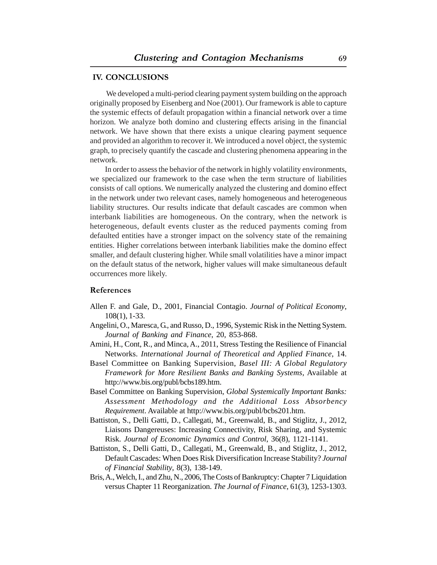#### **IV. CONCLUSIONS**

 We developed a multi-period clearing payment system building on the approach originally proposed by Eisenberg and Noe (2001). Our framework is able to capture the systemic effects of default propagation within a financial network over a time horizon. We analyze both domino and clustering effects arising in the financial network. We have shown that there exists a unique clearing payment sequence and provided an algorithm to recover it. We introduced a novel object, the systemic graph, to precisely quantify the cascade and clustering phenomena appearing in the network.

In order to assess the behavior of the network in highly volatility environments, we specialized our framework to the case when the term structure of liabilities consists of call options. We numerically analyzed the clustering and domino effect in the network under two relevant cases, namely homogeneous and heterogeneous liability structures. Our results indicate that default cascades are common when interbank liabilities are homogeneous. On the contrary, when the network is heterogeneous, default events cluster as the reduced payments coming from defaulted entities have a stronger impact on the solvency state of the remaining entities. Higher correlations between interbank liabilities make the domino effect smaller, and default clustering higher. While small volatilities have a minor impact on the default status of the network, higher values will make simultaneous default occurrences more likely.

#### **References**

- Allen F. and Gale, D., 2001, Financial Contagio. *Journal of Political Economy*, 108(1), 1-33.
- Angelini, O., Maresca, G., and Russo, D., 1996, Systemic Risk in the Netting System. *Journal of Banking and Finance*, 20, 853-868.
- Amini, H., Cont, R., and Minca, A., 2011, Stress Testing the Resilience of Financial Networks. *International Journal of Theoretical and Applied Finance*, 14.
- Basel Committee on Banking Supervision, *Basel III: A Global Regulatory Framework for More Resilient Banks and Banking Systems*, Available at http://www.bis.org/publ/bcbs189.htm.
- Basel Committee on Banking Supervision, *Global Systemically Important Banks: Assessment Methodology and the Additional Loss Absorbency Requirement*. Available at http://www.bis.org/publ/bcbs201.htm.
- Battiston, S., Delli Gatti, D., Callegati, M., Greenwald, B., and Stiglitz, J., 2012, Liaisons Dangereuses: Increasing Connectivity, Risk Sharing, and Systemic Risk. *Journal of Economic Dynamics and Control*, 36(8), 1121-1141.
- Battiston, S., Delli Gatti, D., Callegati, M., Greenwald, B., and Stiglitz, J., 2012, Default Cascades: When Does Risk Diversification Increase Stability? *Journal of Financial Stability*, 8(3), 138-149.
- Bris, A., Welch, I., and Zhu, N., 2006, The Costs of Bankruptcy: Chapter 7 Liquidation versus Chapter 11 Reorganization. *The Journal of Finance*, 61(3), 1253-1303.